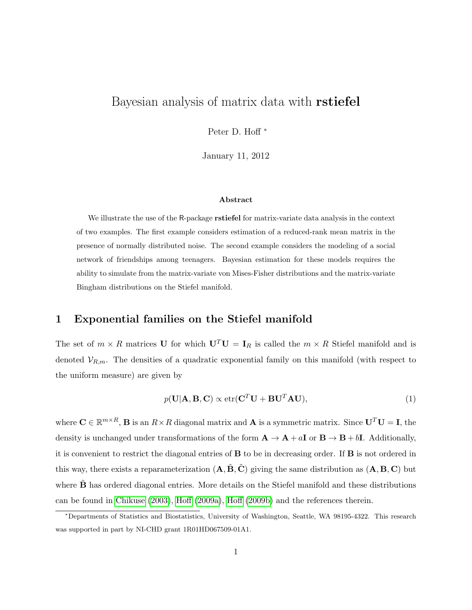# Bayesian analysis of matrix data with rstiefel

Peter D. Hoff <sup>∗</sup>

January 11, 2012

### Abstract

We illustrate the use of the R-package **rstiefel** for matrix-variate data analysis in the context of two examples. The first example considers estimation of a reduced-rank mean matrix in the presence of normally distributed noise. The second example considers the modeling of a social network of friendships among teenagers. Bayesian estimation for these models requires the ability to simulate from the matrix-variate von Mises-Fisher distributions and the matrix-variate Bingham distributions on the Stiefel manifold.

### 1 Exponential families on the Stiefel manifold

The set of  $m \times R$  matrices U for which  $U^T U = I_R$  is called the  $m \times R$  Stiefel manifold and is denoted  $V_{R,m}$ . The densities of a quadratic exponential family on this manifold (with respect to the uniform measure) are given by

<span id="page-0-0"></span>
$$
p(\mathbf{U}|\mathbf{A}, \mathbf{B}, \mathbf{C}) \propto \text{etr}(\mathbf{C}^T \mathbf{U} + \mathbf{B} \mathbf{U}^T \mathbf{A} \mathbf{U}),
$$
\n(1)

where  $\mathbf{C} \in \mathbb{R}^{m \times R}$ , **B** is an  $R \times R$  diagonal matrix and **A** is a symmetric matrix. Since  $\mathbf{U}^T \mathbf{U} = \mathbf{I}$ , the density is unchanged under transformations of the form  $\mathbf{A} \to \mathbf{A} + a\mathbf{I}$  or  $\mathbf{B} \to \mathbf{B} + b\mathbf{I}$ . Additionally, it is convenient to restrict the diagonal entries of B to be in decreasing order. If B is not ordered in this way, there exists a reparameterization  $(A, \tilde{B}, \tilde{C})$  giving the same distribution as  $(A, B, C)$  but where **B** has ordered diagonal entries. More details on the Stiefel manifold and these distributions can be found in [Chikuse](#page-10-0) [\(2003\)](#page-10-0), [Hoff](#page-10-1) [\(2009a\)](#page-10-1), [Hoff](#page-10-2) [\(2009b\)](#page-10-2) and the references therein.

<sup>∗</sup>Departments of Statistics and Biostatistics, University of Washington, Seattle, WA 98195-4322. This research was supported in part by NI-CHD grant 1R01HD067509-01A1.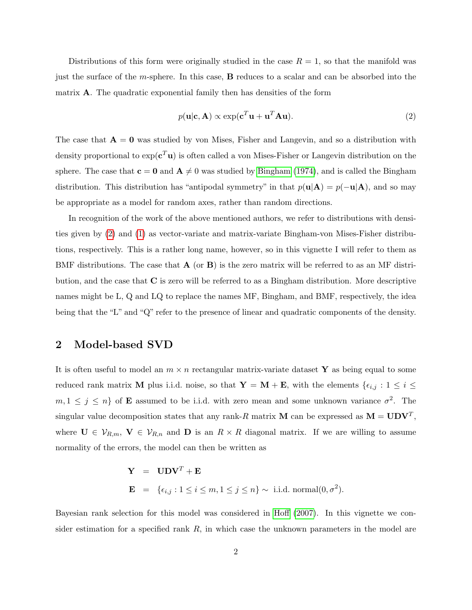Distributions of this form were originally studied in the case  $R = 1$ , so that the manifold was just the surface of the m-sphere. In this case, B reduces to a scalar and can be absorbed into the matrix  $\bf{A}$ . The quadratic exponential family then has densities of the form

<span id="page-1-0"></span>
$$
p(\mathbf{u}|\mathbf{c}, \mathbf{A}) \propto \exp(\mathbf{c}^T \mathbf{u} + \mathbf{u}^T \mathbf{A} \mathbf{u}).
$$
\n(2)

The case that  $A = 0$  was studied by von Mises, Fisher and Langevin, and so a distribution with density proportional to  $\exp(c^T u)$  is often called a von Mises-Fisher or Langevin distribution on the sphere. The case that  $c = 0$  and  $A \neq 0$  was studied by [Bingham](#page-10-3) [\(1974\)](#page-10-3), and is called the Bingham distribution. This distribution has "antipodal symmetry" in that  $p(\mathbf{u}|\mathbf{A}) = p(-\mathbf{u}|\mathbf{A})$ , and so may be appropriate as a model for random axes, rather than random directions.

In recognition of the work of the above mentioned authors, we refer to distributions with densities given by [\(2\)](#page-1-0) and [\(1\)](#page-0-0) as vector-variate and matrix-variate Bingham-von Mises-Fisher distributions, respectively. This is a rather long name, however, so in this vignette I will refer to them as BMF distributions. The case that  $\mathbf{A}$  (or  $\mathbf{B}$ ) is the zero matrix will be referred to as an MF distribution, and the case that  $C$  is zero will be referred to as a Bingham distribution. More descriptive names might be L, Q and LQ to replace the names MF, Bingham, and BMF, respectively, the idea being that the "L" and "Q" refer to the presence of linear and quadratic components of the density.

### 2 Model-based SVD

It is often useful to model an  $m \times n$  rectangular matrix-variate dataset Y as being equal to some reduced rank matrix M plus i.i.d. noise, so that  $Y = M + E$ , with the elements  $\{\epsilon_{i,j} : 1 \leq i \leq j\}$  $m, 1 \leq j \leq n$  of **E** assumed to be i.i.d. with zero mean and some unknown variance  $\sigma^2$ . The singular value decomposition states that any rank-R matrix M can be expressed as  $M = UDV^T$ , where  $\mathbf{U} \in \mathcal{V}_{R,m}$ ,  $\mathbf{V} \in \mathcal{V}_{R,n}$  and  $\mathbf{D}$  is an  $R \times R$  diagonal matrix. If we are willing to assume normality of the errors, the model can then be written as

$$
\mathbf{Y} = \mathbf{UDV}^T + \mathbf{E}
$$
  

$$
\mathbf{E} = \{\epsilon_{i,j} : 1 \le i \le m, 1 \le j \le n\} \sim \text{ i.i.d. normal}(0, \sigma^2).
$$

Bayesian rank selection for this model was considered in [Hoff](#page-10-4) [\(2007\)](#page-10-4). In this vignette we consider estimation for a specified rank  $R$ , in which case the unknown parameters in the model are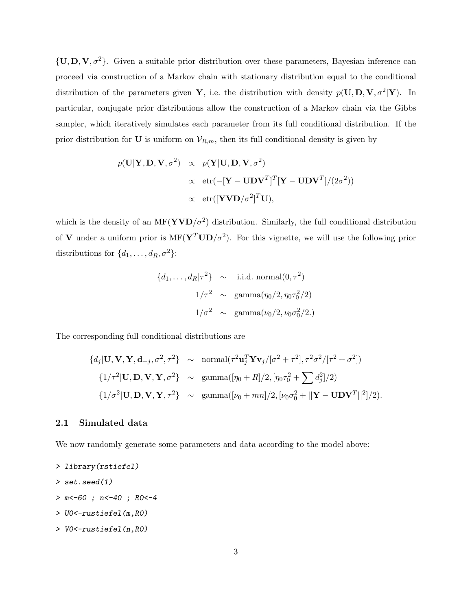${\bf \{U,D,V, \sigma^2\}.$  Given a suitable prior distribution over these parameters, Bayesian inference can proceed via construction of a Markov chain with stationary distribution equal to the conditional distribution of the parameters given Y, i.e. the distribution with density  $p(\mathbf{U}, \mathbf{D}, \mathbf{V}, \sigma^2 | \mathbf{Y})$ . In particular, conjugate prior distributions allow the construction of a Markov chain via the Gibbs sampler, which iteratively simulates each parameter from its full conditional distribution. If the prior distribution for U is uniform on  $\mathcal{V}_{R,m}$ , then its full conditional density is given by

$$
p(\mathbf{U}|\mathbf{Y}, \mathbf{D}, \mathbf{V}, \sigma^2) \propto p(\mathbf{Y}|\mathbf{U}, \mathbf{D}, \mathbf{V}, \sigma^2)
$$
  
 
$$
\propto \text{etr}(-[\mathbf{Y} - \mathbf{U}\mathbf{D}\mathbf{V}^T]^T [\mathbf{Y} - \mathbf{U}\mathbf{D}\mathbf{V}^T]/(2\sigma^2))
$$
  
 
$$
\propto \text{etr}([\mathbf{Y}\mathbf{V}\mathbf{D}/\sigma^2]^T \mathbf{U}),
$$

which is the density of an  $MF(YVD/\sigma^2)$  distribution. Similarly, the full conditional distribution of **V** under a uniform prior is  $MF(Y^TUD/\sigma^2)$ . For this vignette, we will use the following prior distributions for  $\{d_1, \ldots, d_R, \sigma^2\}$ :

$$
\{d_1, \dots, d_R | \tau^2\} \sim \text{i.i.d. normal}(0, \tau^2)
$$

$$
1/\tau^2 \sim \text{gamma}(\eta_0/2, \eta_0 \tau_0^2/2)
$$

$$
1/\sigma^2 \sim \text{gamma}(\nu_0/2, \nu_0 \sigma_0^2/2.)
$$

The corresponding full conditional distributions are

$$
\{d_j|\mathbf{U}, \mathbf{V}, \mathbf{Y}, \mathbf{d}_{-j}, \sigma^2, \tau^2\} \sim \operatorname{normal}(\tau^2 \mathbf{u}_j^T \mathbf{Y} \mathbf{v}_j/[\sigma^2 + \tau^2], \tau^2 \sigma^2/[\tau^2 + \sigma^2])
$$
  

$$
\{1/\tau^2|\mathbf{U}, \mathbf{D}, \mathbf{V}, \mathbf{Y}, \sigma^2\} \sim \operatorname{gamma}([\eta_0 + R]/2, [\eta_0 \tau_0^2 + \sum d_j^2]/2)
$$
  

$$
\{1/\sigma^2|\mathbf{U}, \mathbf{D}, \mathbf{V}, \mathbf{Y}, \tau^2\} \sim \operatorname{gamma}([\nu_0 + mn]/2, [\nu_0 \sigma_0^2 + ||\mathbf{Y} - \mathbf{UDV}^T||^2]/2).
$$

### 2.1 Simulated data

We now randomly generate some parameters and data according to the model above:

- > library(rstiefel)
- > set.seed(1)
- > m<-60 ; n<-40 ; R0<-4
- > U0<-rustiefel(m,R0)
- > V0<-rustiefel(n,R0)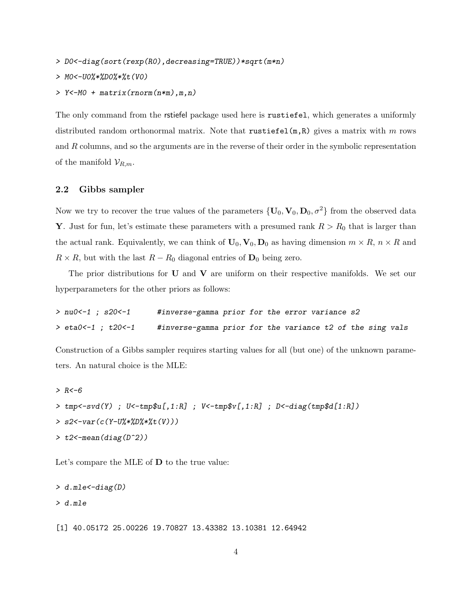- > D0<-diag(sort(rexp(R0),decreasing=TRUE))\*sqrt(m\*n)
- > M0<-U0%\*%D0%\*%t(V0)
- > Y<-M0 + matrix(rnorm(n\*m),m,n)

The only command from the rstiefel package used here is rustiefel, which generates a uniformly distributed random orthonormal matrix. Note that rustiefel( $m, R$ ) gives a matrix with m rows and R columns, and so the arguments are in the reverse of their order in the symbolic representation of the manifold  $\mathcal{V}_{R,m}$ .

### 2.2 Gibbs sampler

Now we try to recover the true values of the parameters  $\{U_0, V_0, D_0, \sigma^2\}$  from the observed data Y. Just for fun, let's estimate these parameters with a presumed rank  $R > R_0$  that is larger than the actual rank. Equivalently, we can think of  $U_0$ ,  $V_0$ ,  $D_0$  as having dimension  $m \times R$ ,  $n \times R$  and  $R \times R$ , but with the last  $R - R_0$  diagonal entries of  $D_0$  being zero.

The prior distributions for  $U$  and  $V$  are uniform on their respective manifolds. We set our hyperparameters for the other priors as follows:

| > nuO<-1 ; s2O<-1  | #inverse-gamma prior for the error variance s2            |  |  |  |  |  |
|--------------------|-----------------------------------------------------------|--|--|--|--|--|
| > eta0<-1 : t20<-1 | #inverse-gamma prior for the variance t2 of the sing vals |  |  |  |  |  |

Construction of a Gibbs sampler requires starting values for all (but one) of the unknown parameters. An natural choice is the MLE:

```
> R < -6> tmp<-svd(Y) ; U<-tmp$u[,1:R] ; V<-tmp$v[,1:R] ; D<-diag(tmp$d[1:R])
> s2<-var(c(Y-U%*%D%*%t(V)))
> t2 < -mean (diag(D^2))
```
Let's compare the MLE of D to the true value:

```
> d.mle<-diag(D)
> d.mle
```
[1] 40.05172 25.00226 19.70827 13.43382 13.10381 12.64942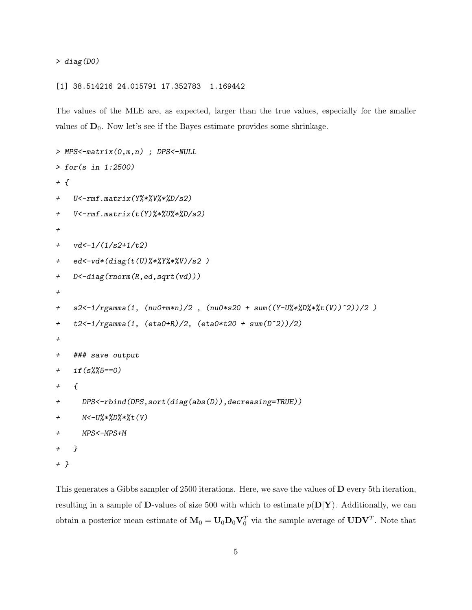> diag(D0)

### [1] 38.514216 24.015791 17.352783 1.169442

The values of the MLE are, as expected, larger than the true values, especially for the smaller values of  $D_0$ . Now let's see if the Bayes estimate provides some shrinkage.

```
> MPS<-matrix(0,m,n) ; DPS<-NULL
> for(s in 1:2500)
+ {
+ U<-rmf.matrix(Y%*%V%*%D/s2)
+ V<-rmf.matrix(t(Y)%*%U%*%D/s2)
+
+ vd<-1/(1/s2+1/t2)
+ ed<-vd*(diag(t(U)%*%Y%*%V)/s2 )
+ D<-diag(rnorm(R,ed,sqrt(vd)))
+
+ s2<-1/rgamma(1, (nu0+m*n)/2, (nu0*s20 + sum((Y-U%*%D%*%t(V))^2))/2 )
+ t2<-1/rgamma(1, (eta0+R)/2, (eta0*t20 + sum(D^2))/2)
+
+ ### save output
+ if(s%%5==0)
+ {
+ DPS<-rbind(DPS,sort(diag(abs(D)),decreasing=TRUE))
+ M<-U%*%D%*%t(V)
+ MPS<-MPS+M
+ }
+ }
```
This generates a Gibbs sampler of 2500 iterations. Here, we save the values of **D** every 5th iteration, resulting in a sample of D-values of size 500 with which to estimate  $p(D|Y)$ . Additionally, we can obtain a posterior mean estimate of  $M_0 = U_0 D_0 V_0^T$  via the sample average of  $UDV^T$ . Note that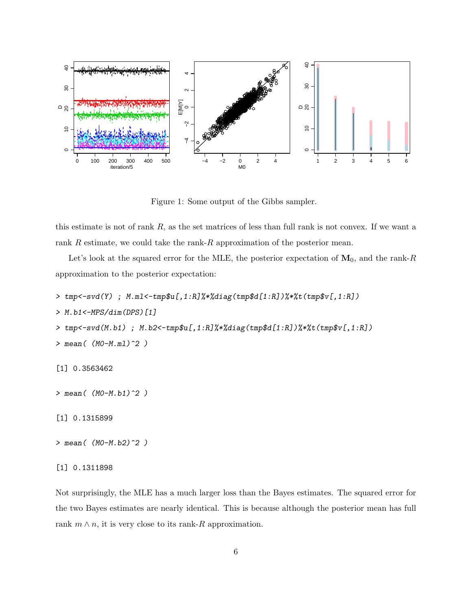

<span id="page-5-0"></span>Figure 1: Some output of the Gibbs sampler.

this estimate is not of rank  $R$ , as the set matrices of less than full rank is not convex. If we want a rank  $R$  estimate, we could take the rank- $R$  approximation of the posterior mean.

Let's look at the squared error for the MLE, the posterior expectation of  $M_0$ , and the rank-R approximation to the posterior expectation:

```
> tmp<-svd(Y); M.m1<-tmp$u[, 1:R]%*%diag(tmp$d[1:R])%*%t(tmp$v[,1:R])
> M.b1<-MPS/dim(DPS)[1]> tmp<-svd(M.b1); M.b2<-tmp$u[,1:R]%*%diag(tmp$d[1:R])%*%t(tmp$v[,1:R])
> mean((MO-M.m1)^2)
[1] 0.3563462
> mean((MO-M.b1)^2)
[1] 0.1315899
```

```
> mean((M0-M.b2)^2)
```
### $[1]$  0.1311898

Not surprisingly, the MLE has a much larger loss than the Bayes estimates. The squared error for the two Bayes estimates are nearly identical. This is because although the posterior mean has full rank  $m \wedge n$ , it is very close to its rank-R approximation.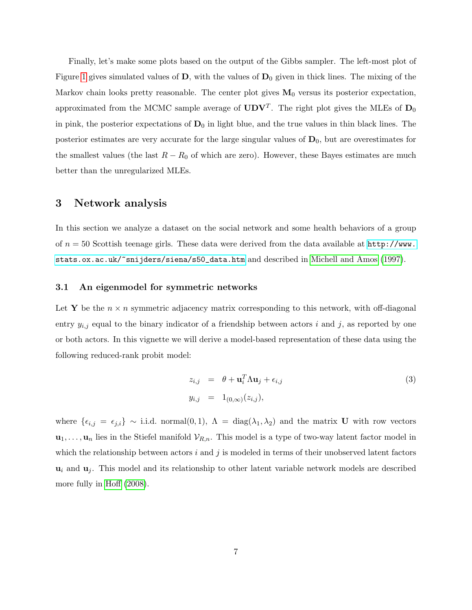Finally, let's make some plots based on the output of the Gibbs sampler. The left-most plot of Figure [1](#page-5-0) gives simulated values of  $D$ , with the values of  $D_0$  given in thick lines. The mixing of the Markov chain looks pretty reasonable. The center plot gives  $M_0$  versus its posterior expectation, approximated from the MCMC sample average of  $\mathbf{UDV}^T$ . The right plot gives the MLEs of  $\mathbf{D}_0$ in pink, the posterior expectations of  $D_0$  in light blue, and the true values in thin black lines. The posterior estimates are very accurate for the large singular values of  $D_0$ , but are overestimates for the smallest values (the last  $R - R_0$  of which are zero). However, these Bayes estimates are much better than the unregularized MLEs.

### 3 Network analysis

In this section we analyze a dataset on the social network and some health behaviors of a group of  $n = 50$  Scottish teenage girls. These data were derived from the data available at  $http://www.$ [stats.ox.ac.uk/~snijders/siena/s50\\_data.htm](http://www.stats.ox.ac.uk/~snijders/siena/s50_data.htm) and described in [Michell and Amos](#page-11-0) [\(1997\)](#page-11-0).

### 3.1 An eigenmodel for symmetric networks

Let Y be the  $n \times n$  symmetric adjacency matrix corresponding to this network, with off-diagonal entry  $y_{i,j}$  equal to the binary indicator of a friendship between actors i and j, as reported by one or both actors. In this vignette we will derive a model-based representation of these data using the following reduced-rank probit model:

<span id="page-6-0"></span>
$$
z_{i,j} = \theta + \mathbf{u}_i^T \Lambda \mathbf{u}_j + \epsilon_{i,j}
$$
  
\n
$$
y_{i,j} = 1_{(0,\infty)}(z_{i,j}),
$$
\n(3)

where  $\{\epsilon_{i,j} = \epsilon_{j,i}\}\sim$  i.i.d. normal $(0, 1)$ ,  $\Lambda = \text{diag}(\lambda_1, \lambda_2)$  and the matrix U with row vectors  $\mathbf{u}_1, \ldots, \mathbf{u}_n$  lies in the Stiefel manifold  $\mathcal{V}_{R,n}$ . This model is a type of two-way latent factor model in which the relationship between actors  $i$  and  $j$  is modeled in terms of their unobserved latent factors  $\mathbf{u}_i$  and  $\mathbf{u}_j$ . This model and its relationship to other latent variable network models are described more fully in [Hoff](#page-10-5) [\(2008\)](#page-10-5).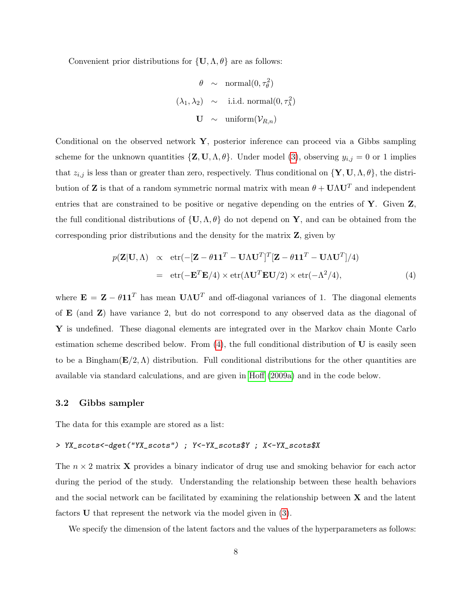Convenient prior distributions for  $\{U, \Lambda, \theta\}$  are as follows:

$$
\theta \sim \text{normal}(0, \tau_{\theta}^2)
$$
  
\n $(\lambda_1, \lambda_2) \sim \text{i.i.d. normal}(0, \tau_{\lambda}^2)$   
\n $\mathbf{U} \sim \text{uniform}(\mathcal{V}_{R,n})$ 

Conditional on the observed network  $\mathbf{Y}$ , posterior inference can proceed via a Gibbs sampling scheme for the unknown quantities  $\{Z, U, \Lambda, \theta\}$ . Under model [\(3\)](#page-6-0), observing  $y_{i,j} = 0$  or 1 implies that  $z_{i,j}$  is less than or greater than zero, respectively. Thus conditional on  $\{Y, U, \Lambda, \theta\}$ , the distribution of **Z** is that of a random symmetric normal matrix with mean  $\theta + \mathbf{U}\Lambda\mathbf{U}^T$  and independent entries that are constrained to be positive or negative depending on the entries of Y. Given Z, the full conditional distributions of  $\{U, \Lambda, \theta\}$  do not depend on Y, and can be obtained from the corresponding prior distributions and the density for the matrix Z, given by

<span id="page-7-0"></span>
$$
p(\mathbf{Z}|\mathbf{U},\Lambda) \propto \text{etr}(-[\mathbf{Z} - \theta \mathbf{1}\mathbf{1}^T - \mathbf{U}\Lambda \mathbf{U}^T]^T [\mathbf{Z} - \theta \mathbf{1}\mathbf{1}^T - \mathbf{U}\Lambda \mathbf{U}^T]/4)
$$
  
= 
$$
\text{etr}(-\mathbf{E}^T \mathbf{E}/4) \times \text{etr}(\Lambda \mathbf{U}^T \mathbf{E} \mathbf{U}/2) \times \text{etr}(-\Lambda^2/4),
$$
 (4)

where  $\mathbf{E} = \mathbf{Z} - \theta \mathbf{1} \mathbf{1}^T$  has mean  $\mathbf{U} \Lambda \mathbf{U}^T$  and off-diagonal variances of 1. The diagonal elements of  $E$  (and  $Z$ ) have variance 2, but do not correspond to any observed data as the diagonal of Y is undefined. These diagonal elements are integrated over in the Markov chain Monte Carlo estimation scheme described below. From  $(4)$ , the full conditional distribution of U is easily seen to be a Bingham( $\mathbf{E}/2$ ,  $\Lambda$ ) distribution. Full conditional distributions for the other quantities are available via standard calculations, and are given in [Hoff](#page-10-1) [\(2009a\)](#page-10-1) and in the code below.

#### 3.2 Gibbs sampler

The data for this example are stored as a list:

### > YX\_scots<-dget("YX\_scots") ; Y<-YX\_scots\$Y ; X<-YX\_scots\$X

The  $n \times 2$  matrix **X** provides a binary indicator of drug use and smoking behavior for each actor during the period of the study. Understanding the relationship between these health behaviors and the social network can be facilitated by examining the relationship between  $X$  and the latent factors U that represent the network via the model given in [\(3\)](#page-6-0).

We specify the dimension of the latent factors and the values of the hyperparameters as follows: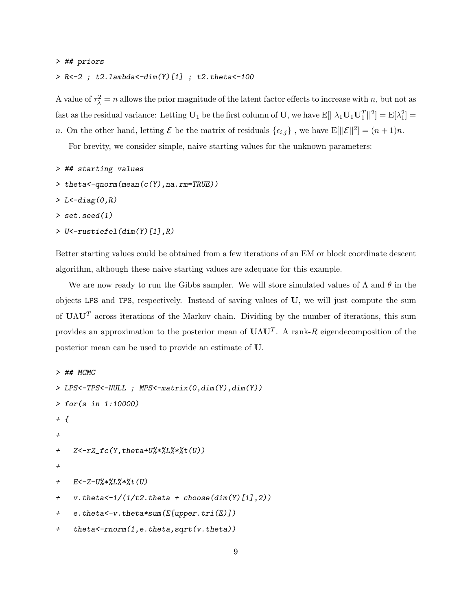#### > ## priors

```
> R<-2 ; t2.lambda<-dim(Y)[1] ; t2.theta<-100
```
A value of  $\tau_{\lambda}^2 = n$  allows the prior magnitude of the latent factor effects to increase with n, but not as fast as the residual variance: Letting  $U_1$  be the first column of U, we have  $E[||\lambda_1 U_1 U_1^T||^2] = E[\lambda_1^2] =$ n. On the other hand, letting  $\mathcal E$  be the matrix of residuals  $\{\epsilon_{i,j}\}\,$ , we have  $\mathbb E[||\mathcal E||^2] = (n+1)n$ .

For brevity, we consider simple, naive starting values for the unknown parameters:

### > ## starting values

- > theta<-qnorm(mean(c(Y),na.rm=TRUE))
- >  $L$ <-diag $(0,R)$
- > set.seed(1)
- > U<-rustiefel(dim(Y)[1],R)

Better starting values could be obtained from a few iterations of an EM or block coordinate descent algorithm, although these naive starting values are adequate for this example.

We are now ready to run the Gibbs sampler. We will store simulated values of  $\Lambda$  and  $\theta$  in the objects LPS and TPS, respectively. Instead of saving values of U, we will just compute the sum of  $U\Lambda U^T$  across iterations of the Markov chain. Dividing by the number of iterations, this sum provides an approximation to the posterior mean of  $U\Lambda U^{T}$ . A rank-R eigendecomposition of the posterior mean can be used to provide an estimate of U.

```
> ## MCMC
> LPS<-TPS<-NULL ; MPS<-matrix(0,dim(Y),dim(Y))
> for(s in 1:10000)
+ {
+
+ Z<-rZ_fc(Y,theta+U%*%L%*%t(U))
+
+ E<-Z-U%*%L%*%t(U)
+ v.theta\left(\frac{-1}{1/t^2} \cdot \text{theta} + \text{choose}(dim(Y)[1], 2)\right)+ e.theta<-v.theta*sum(E[upper.tri(E)])
+ theta<-rnorm(1,e.theta,sqrt(v.theta))
```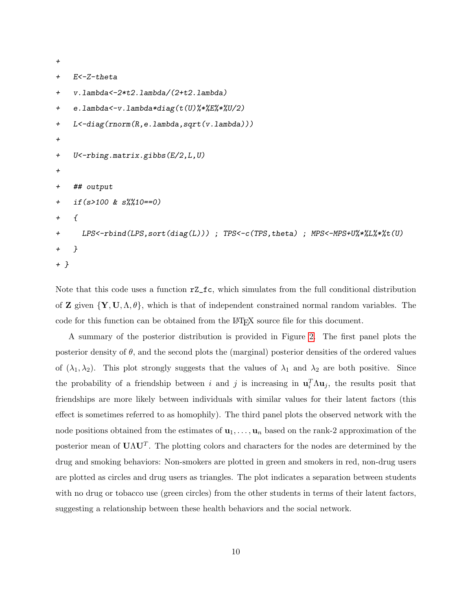```
+
+ E<-Z-theta
+ v.lambda<-2*t2.lambda/(2+t2.lambda)
+ e.lambda<-v.lambda*diag(t(U)%*%E%*%U/2)
+ L<-diag(rnorm(R,e.lambda,sqrt(v.lambda)))
+
+ U<-rbing.matrix.gibbs(E/2,L,U)
+
+ ## output
+ if(s>100 & s%%10==0)
+ {
+ LPS<-rbind(LPS,sort(diag(L))) ; TPS<-c(TPS,theta) ; MPS<-MPS+U%*%L%**t(U)
+ }
+ }
```
Note that this code uses a function rZ\_fc, which simulates from the full conditional distribution of **Z** given  $\{Y, U, \Lambda, \theta\}$ , which is that of independent constrained normal random variables. The code for this function can be obtained from the LATEX source file for this document.

A summary of the posterior distribution is provided in Figure [2.](#page-10-6) The first panel plots the posterior density of  $\theta$ , and the second plots the (marginal) posterior densities of the ordered values of  $(\lambda_1, \lambda_2)$ . This plot strongly suggests that the values of  $\lambda_1$  and  $\lambda_2$  are both positive. Since the probability of a friendship between i and j is increasing in  $\mathbf{u}_i^T \Lambda \mathbf{u}_j$ , the results posit that friendships are more likely between individuals with similar values for their latent factors (this effect is sometimes referred to as homophily). The third panel plots the observed network with the node positions obtained from the estimates of  $\mathbf{u}_1, \ldots, \mathbf{u}_n$  based on the rank-2 approximation of the posterior mean of  $U\Lambda U^T$ . The plotting colors and characters for the nodes are determined by the drug and smoking behaviors: Non-smokers are plotted in green and smokers in red, non-drug users are plotted as circles and drug users as triangles. The plot indicates a separation between students with no drug or tobacco use (green circles) from the other students in terms of their latent factors, suggesting a relationship between these health behaviors and the social network.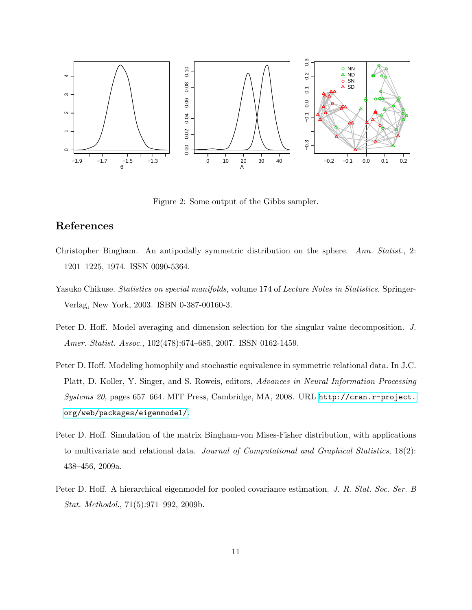

<span id="page-10-6"></span>Figure 2: Some output of the Gibbs sampler.

## References

- <span id="page-10-3"></span>Christopher Bingham. An antipodally symmetric distribution on the sphere. Ann. Statist., 2: 1201–1225, 1974. ISSN 0090-5364.
- <span id="page-10-0"></span>Yasuko Chikuse. Statistics on special manifolds, volume 174 of Lecture Notes in Statistics. Springer-Verlag, New York, 2003. ISBN 0-387-00160-3.
- <span id="page-10-4"></span>Peter D. Hoff. Model averaging and dimension selection for the singular value decomposition. J. Amer. Statist. Assoc., 102(478):674–685, 2007. ISSN 0162-1459.
- <span id="page-10-5"></span>Peter D. Hoff. Modeling homophily and stochastic equivalence in symmetric relational data. In J.C. Platt, D. Koller, Y. Singer, and S. Roweis, editors, Advances in Neural Information Processing Systems 20, pages 657–664. MIT Press, Cambridge, MA, 2008. URL [http://cran.r-project.](http://cran.r-project.org/web/packages/eigenmodel/) [org/web/packages/eigenmodel/](http://cran.r-project.org/web/packages/eigenmodel/).
- <span id="page-10-1"></span>Peter D. Hoff. Simulation of the matrix Bingham-von Mises-Fisher distribution, with applications to multivariate and relational data. Journal of Computational and Graphical Statistics,  $18(2)$ : 438–456, 2009a.
- <span id="page-10-2"></span>Peter D. Hoff. A hierarchical eigenmodel for pooled covariance estimation. J. R. Stat. Soc. Ser. B Stat. Methodol., 71(5):971–992, 2009b.